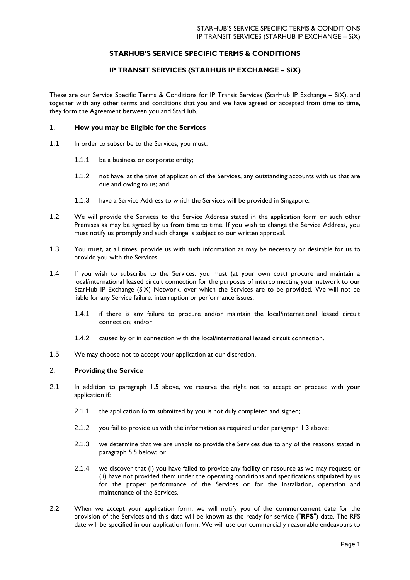# **STARHUB'S SERVICE SPECIFIC TERMS & CONDITIONS**

## **IP TRANSIT SERVICES (STARHUB IP EXCHANGE – SiX)**

These are our Service Specific Terms & Conditions for IP Transit Services (StarHub IP Exchange – SiX), and together with any other terms and conditions that you and we have agreed or accepted from time to time, they form the Agreement between you and StarHub.

### 1. **How you may be Eligible for the Services**

- 1.1 In order to subscribe to the Services, you must:
	- 1.1.1 be a business or corporate entity;
	- 1.1.2 not have, at the time of application of the Services, any outstanding accounts with us that are due and owing to us; and
	- 1.1.3 have a Service Address to which the Services will be provided in Singapore.
- 1.2 We will provide the Services to the Service Address stated in the application form or such other Premises as may be agreed by us from time to time. If you wish to change the Service Address, you must notify us promptly and such change is subject to our written approval.
- 1.3 You must, at all times, provide us with such information as may be necessary or desirable for us to provide you with the Services.
- 1.4 If you wish to subscribe to the Services, you must (at your own cost) procure and maintain a local/international leased circuit connection for the purposes of interconnecting your network to our StarHub IP Exchange (SiX) Network, over which the Services are to be provided. We will not be liable for any Service failure, interruption or performance issues:
	- 1.4.1 if there is any failure to procure and/or maintain the local/international leased circuit connection; and/or
	- 1.4.2 caused by or in connection with the local/international leased circuit connection.
- 1.5 We may choose not to accept your application at our discretion.

## 2. **Providing the Service**

- 2.1 In addition to paragraph 1.5 above, we reserve the right not to accept or proceed with your application if:
	- 2.1.1 the application form submitted by you is not duly completed and signed;
	- 2.1.2 you fail to provide us with the information as required under paragraph 1.3 above;
	- 2.1.3 we determine that we are unable to provide the Services due to any of the reasons stated in paragraph 5.5 below; or
	- 2.1.4 we discover that (i) you have failed to provide any facility or resource as we may request; or (ii) have not provided them under the operating conditions and specifications stipulated by us for the proper performance of the Services or for the installation, operation and maintenance of the Services.
- 2.2 When we accept your application form, we will notify you of the commencement date for the provision of the Services and this date will be known as the ready for service ("**RFS**") date. The RFS date will be specified in our application form. We will use our commercially reasonable endeavours to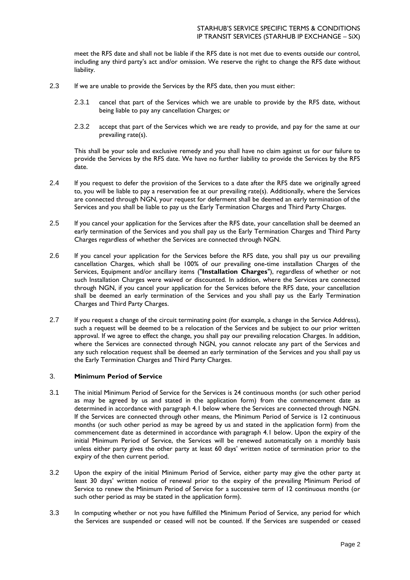meet the RFS date and shall not be liable if the RFS date is not met due to events outside our control, including any third party's act and/or omission. We reserve the right to change the RFS date without liability.

- 2.3 If we are unable to provide the Services by the RFS date, then you must either:
	- 2.3.1 cancel that part of the Services which we are unable to provide by the RFS date, without being liable to pay any cancellation Charges; or
	- 2.3.2 accept that part of the Services which we are ready to provide, and pay for the same at our prevailing rate(s).

This shall be your sole and exclusive remedy and you shall have no claim against us for our failure to provide the Services by the RFS date. We have no further liability to provide the Services by the RFS date.

- 2.4 If you request to defer the provision of the Services to a date after the RFS date we originally agreed to, you will be liable to pay a reservation fee at our prevailing rate(s). Additionally, where the Services are connected through NGN, your request for deferment shall be deemed an early termination of the Services and you shall be liable to pay us the Early Termination Charges and Third Party Charges.
- 2.5 If you cancel your application for the Services after the RFS date, your cancellation shall be deemed an early termination of the Services and you shall pay us the Early Termination Charges and Third Party Charges regardless of whether the Services are connected through NGN.
- 2.6 If you cancel your application for the Services before the RFS date, you shall pay us our prevailing cancellation Charges, which shall be 100% of our prevailing one-time installation Charges of the Services, Equipment and/or ancillary items ("**Installation Charges**"), regardless of whether or not such Installation Charges were waived or discounted. In addition, where the Services are connected through NGN, if you cancel your application for the Services before the RFS date, your cancellation shall be deemed an early termination of the Services and you shall pay us the Early Termination Charges and Third Party Charges.
- 2.7 If you request a change of the circuit terminating point (for example, a change in the Service Address), such a request will be deemed to be a relocation of the Services and be subject to our prior written approval. If we agree to effect the change, you shall pay our prevailing relocation Charges. In addition, where the Services are connected through NGN, you cannot relocate any part of the Services and any such relocation request shall be deemed an early termination of the Services and you shall pay us the Early Termination Charges and Third Party Charges.

# 3. **Minimum Period of Service**

- 3.1 The initial Minimum Period of Service for the Services is 24 continuous months (or such other period as may be agreed by us and stated in the application form) from the commencement date as determined in accordance with paragraph 4.1 below where the Services are connected through NGN. If the Services are connected through other means, the Minimum Period of Service is 12 continuous months (or such other period as may be agreed by us and stated in the application form) from the commencement date as determined in accordance with paragraph 4.1 below. Upon the expiry of the initial Minimum Period of Service, the Services will be renewed automatically on a monthly basis unless either party gives the other party at least 60 days' written notice of termination prior to the expiry of the then current period.
- 3.2 Upon the expiry of the initial Minimum Period of Service, either party may give the other party at least 30 days' written notice of renewal prior to the expiry of the prevailing Minimum Period of Service to renew the Minimum Period of Service for a successive term of 12 continuous months (or such other period as may be stated in the application form).
- 3.3 In computing whether or not you have fulfilled the Minimum Period of Service, any period for which the Services are suspended or ceased will not be counted. If the Services are suspended or ceased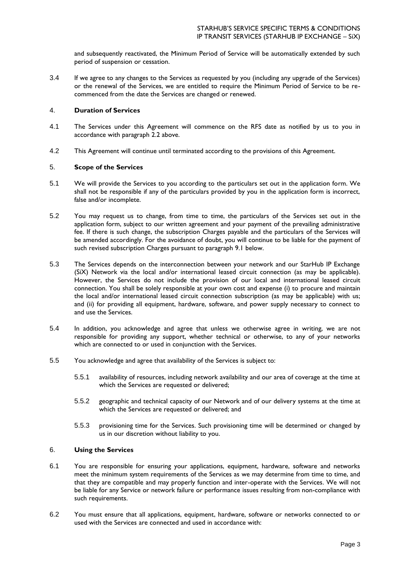and subsequently reactivated, the Minimum Period of Service will be automatically extended by such period of suspension or cessation.

3.4 If we agree to any changes to the Services as requested by you (including any upgrade of the Services) or the renewal of the Services, we are entitled to require the Minimum Period of Service to be recommenced from the date the Services are changed or renewed.

### 4. **Duration of Services**

- 4.1 The Services under this Agreement will commence on the RFS date as notified by us to you in accordance with paragraph 2.2 above.
- 4.2 This Agreement will continue until terminated according to the provisions of this Agreement.

### 5. **Scope of the Services**

- 5.1 We will provide the Services to you according to the particulars set out in the application form. We shall not be responsible if any of the particulars provided by you in the application form is incorrect, false and/or incomplete.
- 5.2 You may request us to change, from time to time, the particulars of the Services set out in the application form, subject to our written agreement and your payment of the prevailing administrative fee. If there is such change, the subscription Charges payable and the particulars of the Services will be amended accordingly. For the avoidance of doubt, you will continue to be liable for the payment of such revised subscription Charges pursuant to paragraph 9.1 below.
- 5.3 The Services depends on the interconnection between your network and our StarHub IP Exchange (SiX) Network via the local and/or international leased circuit connection (as may be applicable). However, the Services do not include the provision of our local and international leased circuit connection. You shall be solely responsible at your own cost and expense (i) to procure and maintain the local and/or international leased circuit connection subscription (as may be applicable) with us; and (ii) for providing all equipment, hardware, software, and power supply necessary to connect to and use the Services.
- 5.4 In addition, you acknowledge and agree that unless we otherwise agree in writing, we are not responsible for providing any support, whether technical or otherwise, to any of your networks which are connected to or used in conjunction with the Services.
- 5.5 You acknowledge and agree that availability of the Services is subject to:
	- 5.5.1 availability of resources, including network availability and our area of coverage at the time at which the Services are requested or delivered;
	- 5.5.2 geographic and technical capacity of our Network and of our delivery systems at the time at which the Services are requested or delivered; and
	- 5.5.3 provisioning time for the Services. Such provisioning time will be determined or changed by us in our discretion without liability to you.

#### 6. **Using the Services**

- 6.1 You are responsible for ensuring your applications, equipment, hardware, software and networks meet the minimum system requirements of the Services as we may determine from time to time, and that they are compatible and may properly function and inter-operate with the Services. We will not be liable for any Service or network failure or performance issues resulting from non-compliance with such requirements.
- 6.2 You must ensure that all applications, equipment, hardware, software or networks connected to or used with the Services are connected and used in accordance with: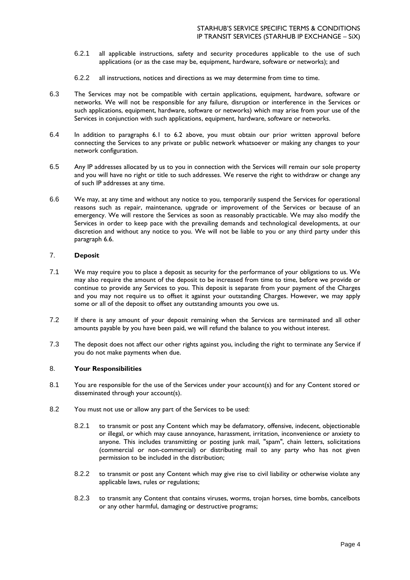- 6.2.1 all applicable instructions, safety and security procedures applicable to the use of such applications (or as the case may be, equipment, hardware, software or networks); and
- 6.2.2 all instructions, notices and directions as we may determine from time to time.
- 6.3 The Services may not be compatible with certain applications, equipment, hardware, software or networks. We will not be responsible for any failure, disruption or interference in the Services or such applications, equipment, hardware, software or networks) which may arise from your use of the Services in conjunction with such applications, equipment, hardware, software or networks.
- 6.4 In addition to paragraphs 6.1 to 6.2 above, you must obtain our prior written approval before connecting the Services to any private or public network whatsoever or making any changes to your network configuration.
- 6.5 Any IP addresses allocated by us to you in connection with the Services will remain our sole property and you will have no right or title to such addresses. We reserve the right to withdraw or change any of such IP addresses at any time.
- 6.6 We may, at any time and without any notice to you, temporarily suspend the Services for operational reasons such as repair, maintenance, upgrade or improvement of the Services or because of an emergency. We will restore the Services as soon as reasonably practicable. We may also modify the Services in order to keep pace with the prevailing demands and technological developments, at our discretion and without any notice to you. We will not be liable to you or any third party under this paragraph 6.6.

# 7. **Deposit**

- 7.1 We may require you to place a deposit as security for the performance of your obligations to us. We may also require the amount of the deposit to be increased from time to time, before we provide or continue to provide any Services to you. This deposit is separate from your payment of the Charges and you may not require us to offset it against your outstanding Charges. However, we may apply some or all of the deposit to offset any outstanding amounts you owe us.
- 7.2 If there is any amount of your deposit remaining when the Services are terminated and all other amounts payable by you have been paid, we will refund the balance to you without interest.
- 7.3 The deposit does not affect our other rights against you, including the right to terminate any Service if you do not make payments when due.

## 8. **Your Responsibilities**

- 8.1 You are responsible for the use of the Services under your account(s) and for any Content stored or disseminated through your account(s).
- 8.2 You must not use or allow any part of the Services to be used:
	- 8.2.1 to transmit or post any Content which may be defamatory, offensive, indecent, objectionable or illegal, or which may cause annoyance, harassment, irritation, inconvenience or anxiety to anyone. This includes transmitting or posting junk mail, "spam", chain letters, solicitations (commercial or non-commercial) or distributing mail to any party who has not given permission to be included in the distribution;
	- 8.2.2 to transmit or post any Content which may give rise to civil liability or otherwise violate any applicable laws, rules or regulations;
	- 8.2.3 to transmit any Content that contains viruses, worms, trojan horses, time bombs, cancelbots or any other harmful, damaging or destructive programs;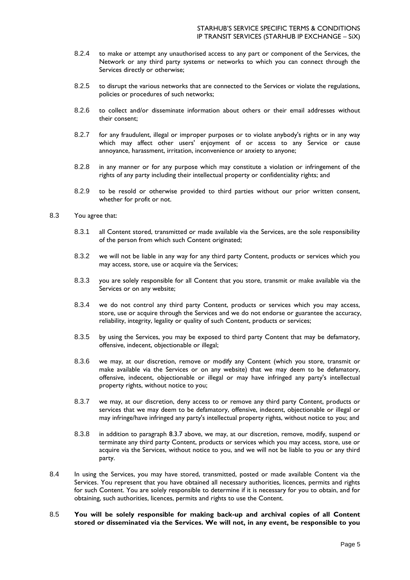- 8.2.4 to make or attempt any unauthorised access to any part or component of the Services, the Network or any third party systems or networks to which you can connect through the Services directly or otherwise;
- 8.2.5 to disrupt the various networks that are connected to the Services or violate the regulations, policies or procedures of such networks;
- 8.2.6 to collect and/or disseminate information about others or their email addresses without their consent;
- 8.2.7 for any fraudulent, illegal or improper purposes or to violate anybody's rights or in any way which may affect other users' enjoyment of or access to any Service or cause annoyance, harassment, irritation, inconvenience or anxiety to anyone;
- 8.2.8 in any manner or for any purpose which may constitute a violation or infringement of the rights of any party including their intellectual property or confidentiality rights; and
- 8.2.9 to be resold or otherwise provided to third parties without our prior written consent, whether for profit or not.

# 8.3 You agree that:

- 8.3.1 all Content stored, transmitted or made available via the Services, are the sole responsibility of the person from which such Content originated;
- 8.3.2 we will not be liable in any way for any third party Content, products or services which you may access, store, use or acquire via the Services;
- 8.3.3 you are solely responsible for all Content that you store, transmit or make available via the Services or on any website;
- 8.3.4 we do not control any third party Content, products or services which you may access, store, use or acquire through the Services and we do not endorse or guarantee the accuracy, reliability, integrity, legality or quality of such Content, products or services;
- 8.3.5 by using the Services, you may be exposed to third party Content that may be defamatory, offensive, indecent, objectionable or illegal;
- 8.3.6 we may, at our discretion, remove or modify any Content (which you store, transmit or make available via the Services or on any website) that we may deem to be defamatory, offensive, indecent, objectionable or illegal or may have infringed any party's intellectual property rights, without notice to you;
- 8.3.7 we may, at our discretion, deny access to or remove any third party Content, products or services that we may deem to be defamatory, offensive, indecent, objectionable or illegal or may infringe/have infringed any party's intellectual property rights, without notice to you; and
- 8.3.8 in addition to paragraph 8.3.7 above, we may, at our discretion, remove, modify, suspend or terminate any third party Content, products or services which you may access, store, use or acquire via the Services, without notice to you, and we will not be liable to you or any third party.
- 8.4 In using the Services, you may have stored, transmitted, posted or made available Content via the Services. You represent that you have obtained all necessary authorities, licences, permits and rights for such Content. You are solely responsible to determine if it is necessary for you to obtain, and for obtaining, such authorities, licences, permits and rights to use the Content.
- 8.5 **You will be solely responsible for making back-up and archival copies of all Content stored or disseminated via the Services. We will not, in any event, be responsible to you**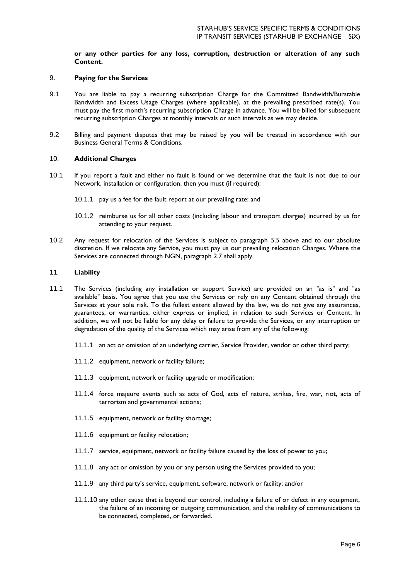## **or any other parties for any loss, corruption, destruction or alteration of any such Content.**

### 9. **Paying for the Services**

- 9.1 You are liable to pay a recurring subscription Charge for the Committed Bandwidth/Burstable Bandwidth and Excess Usage Charges (where applicable), at the prevailing prescribed rate(s). You must pay the first month's recurring subscription Charge in advance. You will be billed for subsequent recurring subscription Charges at monthly intervals or such intervals as we may decide.
- 9.2 Billing and payment disputes that may be raised by you will be treated in accordance with our Business General Terms & Conditions.

### 10. **Additional Charges**

- 10.1 If you report a fault and either no fault is found or we determine that the fault is not due to our Network, installation or configuration, then you must (if required):
	- 10.1.1 pay us a fee for the fault report at our prevailing rate; and
	- 10.1.2 reimburse us for all other costs (including labour and transport charges) incurred by us for attending to your request.
- 10.2 Any request for relocation of the Services is subject to paragraph 5.5 above and to our absolute discretion. If we relocate any Service, you must pay us our prevailing relocation Charges. Where the Services are connected through NGN, paragraph 2.7 shall apply.

### 11. **Liability**

- 11.1 The Services (including any installation or support Service) are provided on an "as is" and "as available" basis. You agree that you use the Services or rely on any Content obtained through the Services at your sole risk. To the fullest extent allowed by the law, we do not give any assurances, guarantees, or warranties, either express or implied, in relation to such Services or Content. In addition, we will not be liable for any delay or failure to provide the Services, or any interruption or degradation of the quality of the Services which may arise from any of the following:
	- 11.1.1 an act or omission of an underlying carrier, Service Provider, vendor or other third party;
	- 11.1.2 equipment, network or facility failure;
	- 11.1.3 equipment, network or facility upgrade or modification;
	- 11.1.4 force majeure events such as acts of God, acts of nature, strikes, fire, war, riot, acts of terrorism and governmental actions;
	- 11.1.5 equipment, network or facility shortage;
	- 11.1.6 equipment or facility relocation;
	- 11.1.7 service, equipment, network or facility failure caused by the loss of power to you;
	- 11.1.8 any act or omission by you or any person using the Services provided to you;
	- 11.1.9 any third party's service, equipment, software, network or facility; and/or
	- 11.1.10 any other cause that is beyond our control, including a failure of or defect in any equipment, the failure of an incoming or outgoing communication, and the inability of communications to be connected, completed, or forwarded.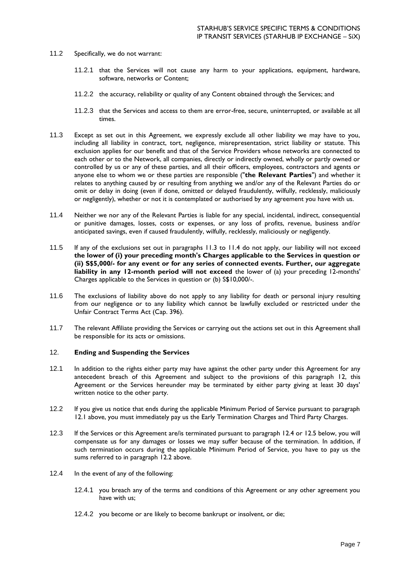- 11.2 Specifically, we do not warrant:
	- 11.2.1 that the Services will not cause any harm to your applications, equipment, hardware, software, networks or Content;
	- 11.2.2 the accuracy, reliability or quality of any Content obtained through the Services; and
	- 11.2.3 that the Services and access to them are error-free, secure, uninterrupted, or available at all times.
- 11.3 Except as set out in this Agreement, we expressly exclude all other liability we may have to you, including all liability in contract, tort, negligence, misrepresentation, strict liability or statute. This exclusion applies for our benefit and that of the Service Providers whose networks are connected to each other or to the Network, all companies, directly or indirectly owned, wholly or partly owned or controlled by us or any of these parties, and all their officers, employees, contractors and agents or anyone else to whom we or these parties are responsible ("**the Relevant Parties**") and whether it relates to anything caused by or resulting from anything we and/or any of the Relevant Parties do or omit or delay in doing (even if done, omitted or delayed fraudulently, wilfully, recklessly, maliciously or negligently), whether or not it is contemplated or authorised by any agreement you have with us.
- 11.4 Neither we nor any of the Relevant Parties is liable for any special, incidental, indirect, consequential or punitive damages, losses, costs or expenses, or any loss of profits, revenue, business and/or anticipated savings, even if caused fraudulently, wilfully, recklessly, maliciously or negligently.
- 11.5 If any of the exclusions set out in paragraphs 11.3 to 11.4 do not apply, our liability will not exceed **the lower of (i) your preceding month's Charges applicable to the Services in question or (ii) S\$5,000/- for any event or for any series of connected events. Further, our aggregate liability in any 12-month period will not exceed** the lower of (a) your preceding 12-months' Charges applicable to the Services in question or (b) S\$10,000/-.
- 11.6 The exclusions of liability above do not apply to any liability for death or personal injury resulting from our negligence or to any liability which cannot be lawfully excluded or restricted under the Unfair Contract Terms Act (Cap. 396).
- 11.7 The relevant Affiliate providing the Services or carrying out the actions set out in this Agreement shall be responsible for its acts or omissions.

#### 12. **Ending and Suspending the Services**

- 12.1 In addition to the rights either party may have against the other party under this Agreement for any antecedent breach of this Agreement and subject to the provisions of this paragraph 12, this Agreement or the Services hereunder may be terminated by either party giving at least 30 days' written notice to the other party.
- 12.2 If you give us notice that ends during the applicable Minimum Period of Service pursuant to paragraph 12.1 above, you must immediately pay us the Early Termination Charges and Third Party Charges.
- 12.3 If the Services or this Agreement are/is terminated pursuant to paragraph 12.4 or 12.5 below, you will compensate us for any damages or losses we may suffer because of the termination. In addition, if such termination occurs during the applicable Minimum Period of Service, you have to pay us the sums referred to in paragraph 12.2 above.
- 12.4 In the event of any of the following:
	- 12.4.1 you breach any of the terms and conditions of this Agreement or any other agreement you have with us;
	- 12.4.2 you become or are likely to become bankrupt or insolvent, or die;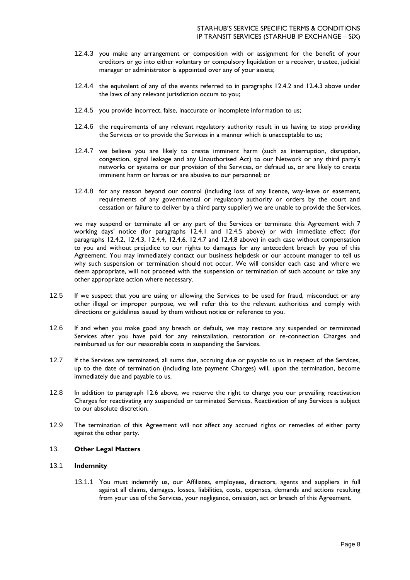- 12.4.3 you make any arrangement or composition with or assignment for the benefit of your creditors or go into either voluntary or compulsory liquidation or a receiver, trustee, judicial manager or administrator is appointed over any of your assets;
- 12.4.4 the equivalent of any of the events referred to in paragraphs 12.4.2 and 12.4.3 above under the laws of any relevant jurisdiction occurs to you;
- 12.4.5 you provide incorrect, false, inaccurate or incomplete information to us;
- 12.4.6 the requirements of any relevant regulatory authority result in us having to stop providing the Services or to provide the Services in a manner which is unacceptable to us;
- 12.4.7 we believe you are likely to create imminent harm (such as interruption, disruption, congestion, signal leakage and any Unauthorised Act) to our Network or any third party's networks or systems or our provision of the Services, or defraud us, or are likely to create imminent harm or harass or are abusive to our personnel; or
- 12.4.8 for any reason beyond our control (including loss of any licence, way-leave or easement, requirements of any governmental or regulatory authority or orders by the court and cessation or failure to deliver by a third party supplier) we are unable to provide the Services,

we may suspend or terminate all or any part of the Services or terminate this Agreement with 7 working days' notice (for paragraphs 12.4.1 and 12.4.5 above) or with immediate effect (for paragraphs 12.4.2, 12.4.3, 12.4.4, 12.4.6, 12.4.7 and 12.4.8 above) in each case without compensation to you and without prejudice to our rights to damages for any antecedent breach by you of this Agreement. You may immediately contact our business helpdesk or our account manager to tell us why such suspension or termination should not occur. We will consider each case and where we deem appropriate, will not proceed with the suspension or termination of such account or take any other appropriate action where necessary.

- 12.5 If we suspect that you are using or allowing the Services to be used for fraud, misconduct or any other illegal or improper purpose, we will refer this to the relevant authorities and comply with directions or guidelines issued by them without notice or reference to you.
- 12.6 If and when you make good any breach or default, we may restore any suspended or terminated Services after you have paid for any reinstallation, restoration or re-connection Charges and reimbursed us for our reasonable costs in suspending the Services.
- 12.7 If the Services are terminated, all sums due, accruing due or payable to us in respect of the Services, up to the date of termination (including late payment Charges) will, upon the termination, become immediately due and payable to us.
- 12.8 In addition to paragraph 12.6 above, we reserve the right to charge you our prevailing reactivation Charges for reactivating any suspended or terminated Services. Reactivation of any Services is subject to our absolute discretion.
- 12.9 The termination of this Agreement will not affect any accrued rights or remedies of either party against the other party.

## 13. **Other Legal Matters**

#### 13.1 **Indemnity**

13.1.1 You must indemnify us, our Affiliates, employees, directors, agents and suppliers in full against all claims, damages, losses, liabilities, costs, expenses, demands and actions resulting from your use of the Services, your negligence, omission, act or breach of this Agreement.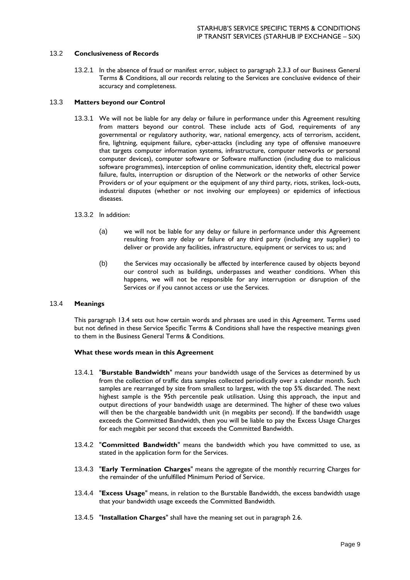### 13.2 **Conclusiveness of Records**

13.2.1 In the absence of fraud or manifest error, subject to paragraph 2.3.3 of our Business General Terms & Conditions, all our records relating to the Services are conclusive evidence of their accuracy and completeness.

### 13.3 **Matters beyond our Control**

13.3.1 We will not be liable for any delay or failure in performance under this Agreement resulting from matters beyond our control. These include acts of God, requirements of any governmental or regulatory authority, war, national emergency, acts of terrorism, accident, fire, lightning, equipment failure, cyber-attacks (including any type of offensive manoeuvre that targets computer information systems, infrastructure, computer networks or personal computer devices), computer software or Software malfunction (including due to malicious software programmes), interception of online communication, identity theft, electrical power failure, faults, interruption or disruption of the Network or the networks of other Service Providers or of your equipment or the equipment of any third party, riots, strikes, lock-outs, industrial disputes (whether or not involving our employees) or epidemics of infectious diseases.

### 13.3.2 In addition:

- (a) we will not be liable for any delay or failure in performance under this Agreement resulting from any delay or failure of any third party (including any supplier) to deliver or provide any facilities, infrastructure, equipment or services to us; and
- (b) the Services may occasionally be affected by interference caused by objects beyond our control such as buildings, underpasses and weather conditions. When this happens, we will not be responsible for any interruption or disruption of the Services or if you cannot access or use the Services.

#### 13.4 **Meanings**

This paragraph 13.4 sets out how certain words and phrases are used in this Agreement. Terms used but not defined in these Service Specific Terms & Conditions shall have the respective meanings given to them in the Business General Terms & Conditions.

# **What these words mean in this Agreement**

- 13.4.1 "**Burstable Bandwidth**" means your bandwidth usage of the Services as determined by us from the collection of traffic data samples collected periodically over a calendar month. Such samples are rearranged by size from smallest to largest, with the top 5% discarded. The next highest sample is the 95th percentile peak utilisation. Using this approach, the input and output directions of your bandwidth usage are determined. The higher of these two values will then be the chargeable bandwidth unit (in megabits per second). If the bandwidth usage exceeds the Committed Bandwidth, then you will be liable to pay the Excess Usage Charges for each megabit per second that exceeds the Committed Bandwidth.
- 13.4.2 "**Committed Bandwidth**" means the bandwidth which you have committed to use, as stated in the application form for the Services.
- 13.4.3 "**Early Termination Charges**" means the aggregate of the monthly recurring Charges for the remainder of the unfulfilled Minimum Period of Service.
- 13.4.4 "**Excess Usage**" means, in relation to the Burstable Bandwidth, the excess bandwidth usage that your bandwidth usage exceeds the Committed Bandwidth.
- 13.4.5 "**Installation Charges**" shall have the meaning set out in paragraph 2.6.